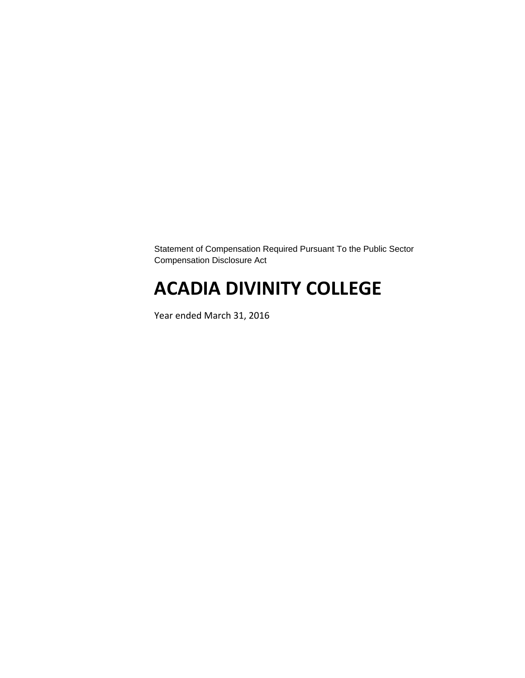Statement of Compensation Required Pursuant To the Public Sector Compensation Disclosure Act

# **ACADIA DIVINITY COLLEGE**

Year ended March 31, 2016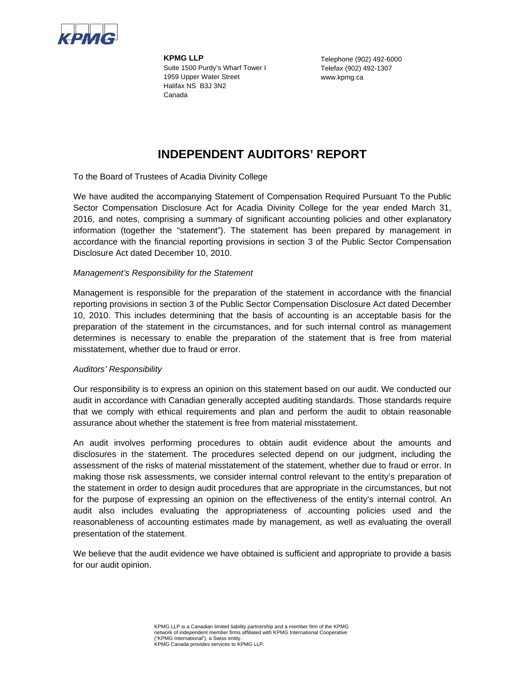

**KPMG LLP**  Suite 1500 Purdy's Wharf Tower I 1959 Upper Water Street Halifax NS B3J 3N2 Canada

Telephone (902) 492-6000 Telefax (902) 492-1307 www.kpmg.ca

### **INDEPENDENT AUDITORS' REPORT**

To the Board of Trustees of Acadia Divinity College

We have audited the accompanying Statement of Compensation Required Pursuant To the Public Sector Compensation Disclosure Act for Acadia Divinity College for the year ended March 31, 2016, and notes, comprising a summary of significant accounting policies and other explanatory information (together the "statement"). The statement has been prepared by management in accordance with the financial reporting provisions in section 3 of the Public Sector Compensation Disclosure Act dated December 10, 2010.

### *Management's Responsibility for the Statement*

Management is responsible for the preparation of the statement in accordance with the financial reporting provisions in section 3 of the Public Sector Compensation Disclosure Act dated December 10, 2010. This includes determining that the basis of accounting is an acceptable basis for the preparation of the statement in the circumstances, and for such internal control as management determines is necessary to enable the preparation of the statement that is free from material misstatement, whether due to fraud or error.

### *Auditors' Responsibility*

Our responsibility is to express an opinion on this statement based on our audit. We conducted our audit in accordance with Canadian generally accepted auditing standards. Those standards require that we comply with ethical requirements and plan and perform the audit to obtain reasonable assurance about whether the statement is free from material misstatement.

An audit involves performing procedures to obtain audit evidence about the amounts and disclosures in the statement. The procedures selected depend on our judgment, including the assessment of the risks of material misstatement of the statement, whether due to fraud or error. In making those risk assessments, we consider internal control relevant to the entity's preparation of the statement in order to design audit procedures that are appropriate in the circumstances, but not for the purpose of expressing an opinion on the effectiveness of the entity's internal control. An audit also includes evaluating the appropriateness of accounting policies used and the reasonableness of accounting estimates made by management, as well as evaluating the overall presentation of the statement.

We believe that the audit evidence we have obtained is sufficient and appropriate to provide a basis for our audit opinion.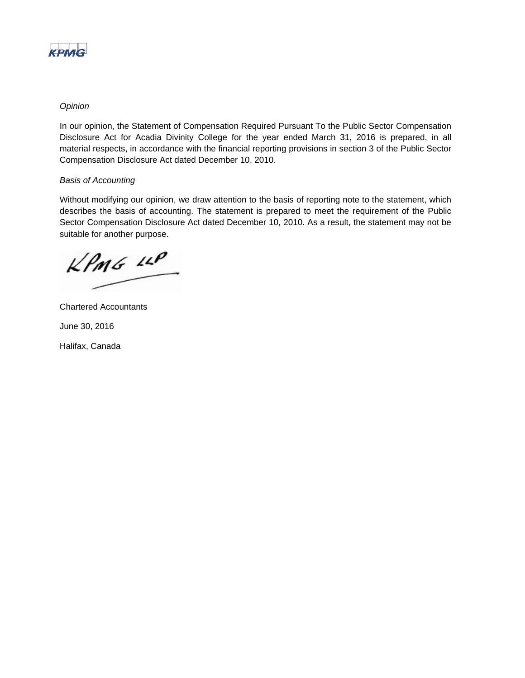

### *Opinion*

In our opinion, the Statement of Compensation Required Pursuant To the Public Sector Compensation Disclosure Act for Acadia Divinity College for the year ended March 31, 2016 is prepared, in all material respects, in accordance with the financial reporting provisions in section 3 of the Public Sector Compensation Disclosure Act dated December 10, 2010.

### *Basis of Accounting*

Without modifying our opinion, we draw attention to the basis of reporting note to the statement, which describes the basis of accounting. The statement is prepared to meet the requirement of the Public Sector Compensation Disclosure Act dated December 10, 2010. As a result, the statement may not be suitable for another purpose.

 $kPm6$   $\mu$ 

Chartered Accountants

June 30, 2016

Halifax, Canada